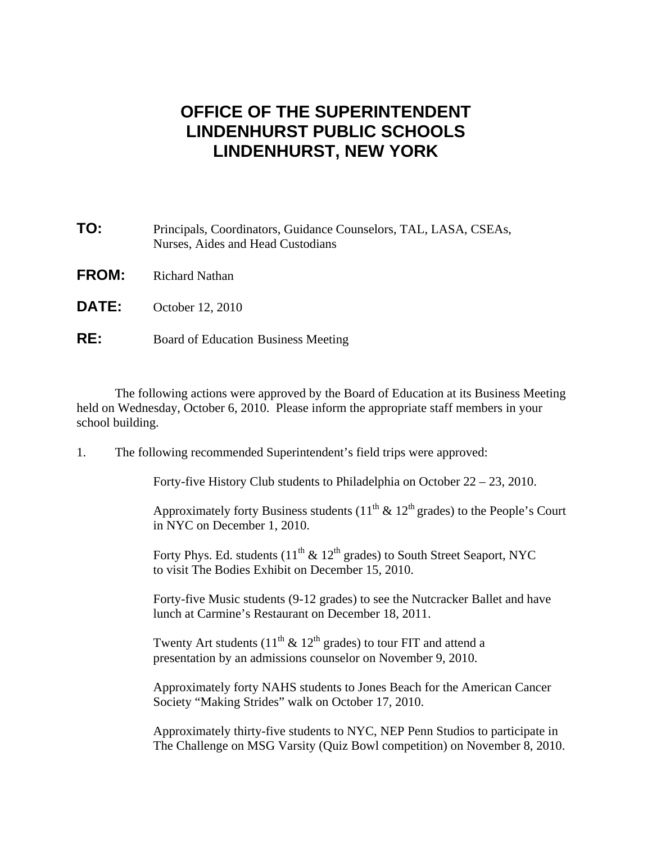## **OFFICE OF THE SUPERINTENDENT LINDENHURST PUBLIC SCHOOLS LINDENHURST, NEW YORK**

| TO:          | Principals, Coordinators, Guidance Counselors, TAL, LASA, CSEAs,<br>Nurses, Aides and Head Custodians |
|--------------|-------------------------------------------------------------------------------------------------------|
| <b>FROM:</b> | <b>Richard Nathan</b>                                                                                 |
| <b>DATE:</b> | October 12, 2010                                                                                      |
| RE:          | <b>Board of Education Business Meeting</b>                                                            |

 The following actions were approved by the Board of Education at its Business Meeting held on Wednesday, October 6, 2010. Please inform the appropriate staff members in your school building.

1. The following recommended Superintendent's field trips were approved:

Forty-five History Club students to Philadelphia on October 22 – 23, 2010.

Approximately forty Business students ( $11^{th}$  &  $12^{th}$  grades) to the People's Court in NYC on December 1, 2010.

Forty Phys. Ed. students  $(11^{th} \& 12^{th}$  grades) to South Street Seaport, NYC to visit The Bodies Exhibit on December 15, 2010.

 Forty-five Music students (9-12 grades) to see the Nutcracker Ballet and have lunch at Carmine's Restaurant on December 18, 2011.

Twenty Art students  $(11<sup>th</sup> \& 12<sup>th</sup>$  grades) to tour FIT and attend a presentation by an admissions counselor on November 9, 2010.

 Approximately forty NAHS students to Jones Beach for the American Cancer Society "Making Strides" walk on October 17, 2010.

 Approximately thirty-five students to NYC, NEP Penn Studios to participate in The Challenge on MSG Varsity (Quiz Bowl competition) on November 8, 2010.